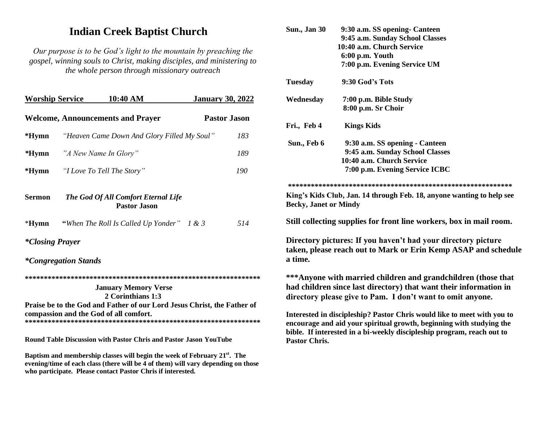# **Indian Creek Baptist Church**

Our purpose is to be God's light to the mountain by preaching the gospel, winning souls to Christ, making disciples, and ministering to the whole person through missionary outreach

| <b>Worship Service</b>                                                                                                                                                | 10:40 AM                                       |  | <b>January 30, 2022</b> |                     |  |
|-----------------------------------------------------------------------------------------------------------------------------------------------------------------------|------------------------------------------------|--|-------------------------|---------------------|--|
| <b>Welcome, Announcements and Prayer</b>                                                                                                                              |                                                |  |                         | <b>Pastor Jason</b> |  |
| $*Hymn$                                                                                                                                                               | "Heaven Came Down And Glory Filled My Soul"    |  |                         | 183                 |  |
| $*Hymn$                                                                                                                                                               | "A New Name In Glory"                          |  |                         | 189                 |  |
|                                                                                                                                                                       | <b>*Hymn</b> <i>"I Love To Tell The Story"</i> |  |                         | 190                 |  |
| <b>Sermon</b><br>The God Of All Comfort Eternal Life<br><b>Pastor Jason</b>                                                                                           |                                                |  |                         |                     |  |
| $*Hymn$                                                                                                                                                               | "When The Roll Is Called Up Yonder" 1 & 3      |  |                         | 514                 |  |
| <i>*Closing Prayer</i>                                                                                                                                                |                                                |  |                         |                     |  |
| <i>*Congregation Stands</i>                                                                                                                                           |                                                |  |                         |                     |  |
| <b>January Memory Verse</b><br>2 Corinthians 1:3<br>Praise be to the God and Father of our Lord Jesus Christ, the Father of<br>compassion and the God of all comfort. |                                                |  |                         |                     |  |
| Round Table Discussion with Pastor Chris and Pastor Jason YouTube                                                                                                     |                                                |  |                         |                     |  |

Baptism and membership classes will begin the week of February 21<sup>st</sup>. The evening/time of each class (there will be  $\frac{3}{4}$  of them) will vary depending on those who participate. Please contact Pastor Chris if interested.

| <b>Sun., Jan 30</b>                                                                                                                                                                                                                               | 9:30 a.m. SS opening- Canteen                                                                                                                                                                     |  |  |  |
|---------------------------------------------------------------------------------------------------------------------------------------------------------------------------------------------------------------------------------------------------|---------------------------------------------------------------------------------------------------------------------------------------------------------------------------------------------------|--|--|--|
|                                                                                                                                                                                                                                                   | 9:45 a.m. Sunday School Classes                                                                                                                                                                   |  |  |  |
|                                                                                                                                                                                                                                                   | 10:40 a.m. Church Service                                                                                                                                                                         |  |  |  |
|                                                                                                                                                                                                                                                   | 6:00 p.m. Youth                                                                                                                                                                                   |  |  |  |
|                                                                                                                                                                                                                                                   | 7:00 p.m. Evening Service UM                                                                                                                                                                      |  |  |  |
| <b>Tuesday</b>                                                                                                                                                                                                                                    | 9:30 God's Tots                                                                                                                                                                                   |  |  |  |
| Wednesday                                                                                                                                                                                                                                         | 7:00 p.m. Bible Study                                                                                                                                                                             |  |  |  |
|                                                                                                                                                                                                                                                   | 8:00 p.m. Sr Choir                                                                                                                                                                                |  |  |  |
| Fri., Feb 4                                                                                                                                                                                                                                       | <b>Kings Kids</b>                                                                                                                                                                                 |  |  |  |
| Sun., Feb 6                                                                                                                                                                                                                                       | 9:30 a.m. SS opening - Canteen                                                                                                                                                                    |  |  |  |
|                                                                                                                                                                                                                                                   | 9:45 a.m. Sunday School Classes                                                                                                                                                                   |  |  |  |
|                                                                                                                                                                                                                                                   | 10:40 a.m. Church Service                                                                                                                                                                         |  |  |  |
|                                                                                                                                                                                                                                                   | 7:00 p.m. Evening Service ICBC                                                                                                                                                                    |  |  |  |
|                                                                                                                                                                                                                                                   |                                                                                                                                                                                                   |  |  |  |
| <b>Becky, Janet or Mindy</b>                                                                                                                                                                                                                      | King's Kids Club, Jan. 14 through Feb. 18, anyone wanting to help see                                                                                                                             |  |  |  |
|                                                                                                                                                                                                                                                   | Still collecting supplies for front line workers, box in mail room.                                                                                                                               |  |  |  |
| a time.                                                                                                                                                                                                                                           | Directory pictures: If you haven't had your directory picture<br>taken, please reach out to Mark or Erin Kemp ASAP and schedule                                                                   |  |  |  |
|                                                                                                                                                                                                                                                   | *** Anyone with married children and grandchildren (those that<br>had children since last directory) that want their information in<br>directory please give to Pam. I don't want to omit anyone. |  |  |  |
| Interested in discipleship? Pastor Chris would like to meet with you to<br>encourage and aid your spiritual growth, beginning with studying the<br>bible. If interested in a bi-weekly discipleship program, reach out to<br><b>Pastor Chris.</b> |                                                                                                                                                                                                   |  |  |  |